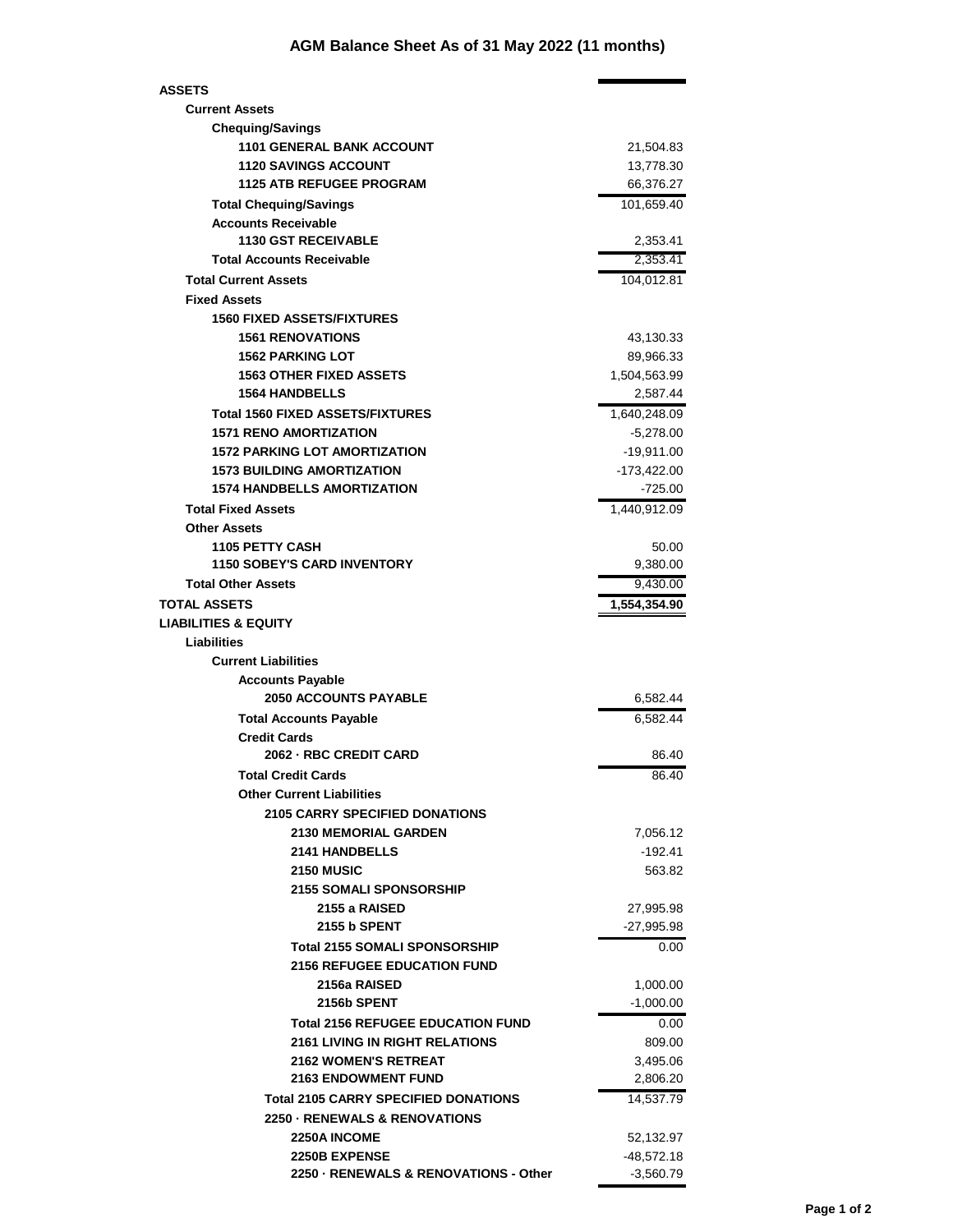## **AGM Balance Sheet As of 31 May 2022 (11 months)**

| <b>ASSETS</b>                                           |              |
|---------------------------------------------------------|--------------|
| <b>Current Assets</b>                                   |              |
| <b>Chequing/Savings</b>                                 |              |
| <b>1101 GENERAL BANK ACCOUNT</b>                        | 21,504.83    |
| <b>1120 SAVINGS ACCOUNT</b>                             | 13,778.30    |
| <b>1125 ATB REFUGEE PROGRAM</b>                         | 66,376.27    |
| <b>Total Chequing/Savings</b>                           | 101,659.40   |
| <b>Accounts Receivable</b>                              |              |
| <b>1130 GST RECEIVABLE</b>                              | 2,353.41     |
| <b>Total Accounts Receivable</b>                        | 2,353.41     |
| <b>Total Current Assets</b>                             | 104,012.81   |
| <b>Fixed Assets</b>                                     |              |
| <b>1560 FIXED ASSETS/FIXTURES</b>                       |              |
| <b>1561 RENOVATIONS</b>                                 | 43,130.33    |
| <b>1562 PARKING LOT</b>                                 | 89,966.33    |
| <b>1563 OTHER FIXED ASSETS</b>                          | 1,504,563.99 |
| <b>1564 HANDBELLS</b>                                   | 2,587.44     |
| <b>Total 1560 FIXED ASSETS/FIXTURES</b>                 | 1,640,248.09 |
| <b>1571 RENO AMORTIZATION</b>                           | $-5,278.00$  |
| <b>1572 PARKING LOT AMORTIZATION</b>                    | -19,911.00   |
| <b>1573 BUILDING AMORTIZATION</b>                       | -173,422.00  |
| <b>1574 HANDBELLS AMORTIZATION</b>                      | $-725.00$    |
| <b>Total Fixed Assets</b>                               | 1,440,912.09 |
| <b>Other Assets</b>                                     |              |
| <b>1105 PETTY CASH</b>                                  | 50.00        |
| <b>1150 SOBEY'S CARD INVENTORY</b>                      | 9,380.00     |
| <b>Total Other Assets</b>                               | 9,430.00     |
| TOTAL ASSETS                                            |              |
| <b>LIABILITIES &amp; EQUITY</b>                         | 1,554,354.90 |
|                                                         |              |
| <b>Liabilities</b>                                      |              |
| <b>Current Liabilities</b>                              |              |
| <b>Accounts Payable</b><br><b>2050 ACCOUNTS PAYABLE</b> |              |
|                                                         | 6,582.44     |
| <b>Total Accounts Payable</b>                           | 6,582.44     |
| <b>Credit Cards</b>                                     |              |
| 2062 - RBC CREDIT CARD                                  | 86.40        |
| <b>Total Credit Cards</b>                               | 86.40        |
| <b>Other Current Liabilities</b>                        |              |
| <b>2105 CARRY SPECIFIED DONATIONS</b>                   |              |
| 2130 MEMORIAL GARDEN                                    | 7,056.12     |
| <b>2141 HANDBELLS</b>                                   | -192.41      |
| <b>2150 MUSIC</b>                                       | 563.82       |
| <b>2155 SOMALI SPONSORSHIP</b>                          |              |
| 2155 a RAISED                                           | 27,995.98    |
| 2155 b SPENT                                            | -27,995.98   |
| <b>Total 2155 SOMALI SPONSORSHIP</b>                    | 0.00         |
| <b>2156 REFUGEE EDUCATION FUND</b>                      |              |
| 2156a RAISED                                            | 1,000.00     |
| 2156b SPENT                                             | $-1,000.00$  |
| <b>Total 2156 REFUGEE EDUCATION FUND</b>                | 0.00         |
| <b>2161 LIVING IN RIGHT RELATIONS</b>                   | 809.00       |
| <b>2162 WOMEN'S RETREAT</b>                             | 3,495.06     |
| <b>2163 ENDOWMENT FUND</b>                              | 2,806.20     |
| <b>Total 2105 CARRY SPECIFIED DONATIONS</b>             | 14,537.79    |
| 2250 - RENEWALS & RENOVATIONS                           |              |
| <b>2250A INCOME</b>                                     | 52,132.97    |
| <b>2250B EXPENSE</b>                                    | -48,572.18   |
| 2250 - RENEWALS & RENOVATIONS - Other                   | $-3,560.79$  |